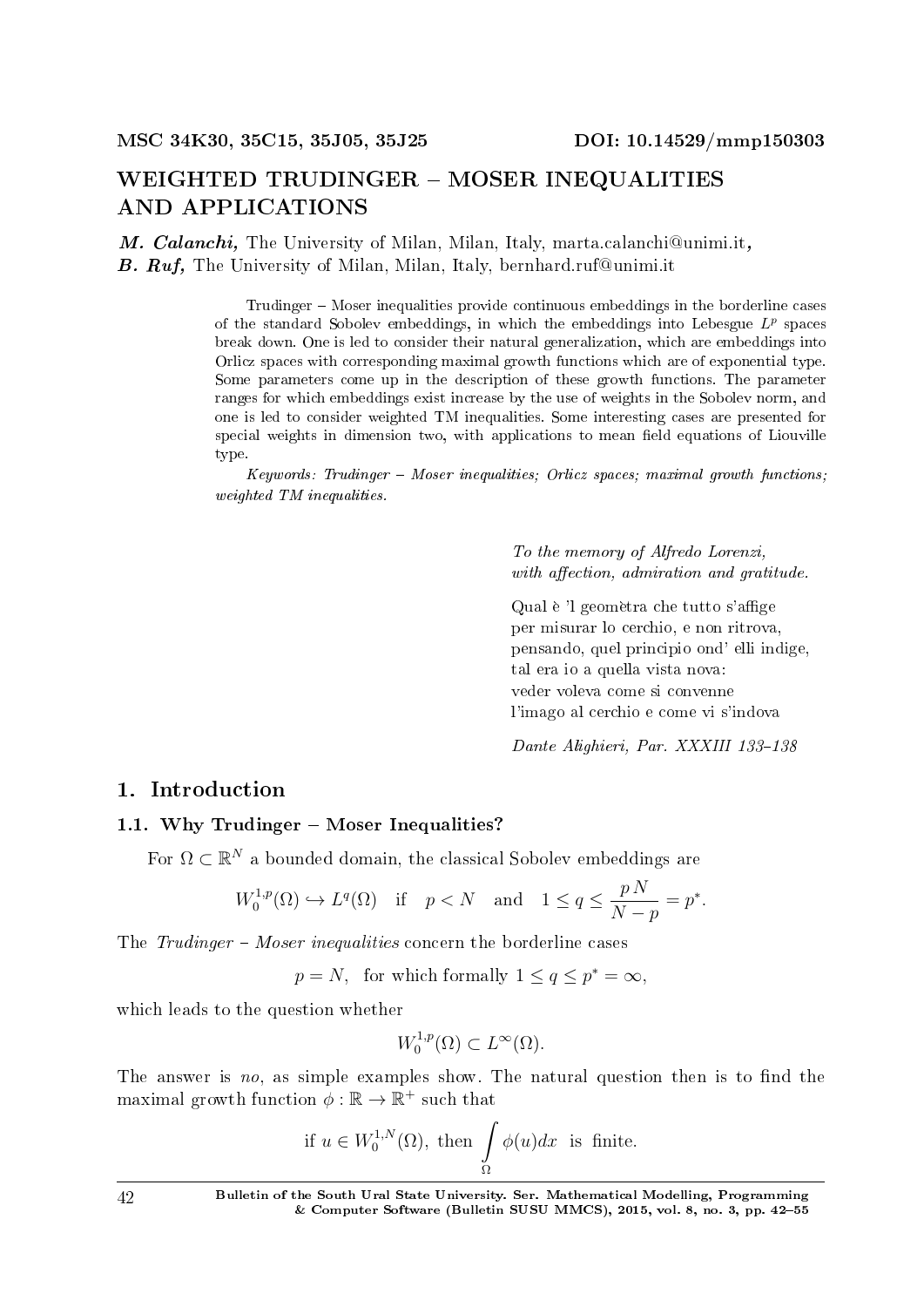# WEIGHTED TRUDINGER - MOSER INEQUALITIES AND APPLICATIONS

M. Calanchi, The University of Milan, Milan, Italy, marta.calanchi@unimi.it, B. Ruf. The University of Milan, Milan, Italy, bernhard.ruf@unimi.it

> Trudinger – Moser inequalities provide continuous embeddings in the borderline cases of the standard Sobolev embeddings, in which the embeddings into Lebesgue *L p* spaces break down. One is led to consider their natural generalization, which are embeddings into Orlicz spaces with corresponding maximal growth functions which are of exponential type. Some parameters come up in the description of these growth functions. The parameter ranges for which embeddings exist increase by the use of weights in the Sobolev norm, and one is led to consider weighted TM inequalities. Some interesting cases are presented for special weights in dimension two, with applications to mean field equations of Liouville type.

> $Keywords: Trudinger - Moser inequalities; Orlicz spaces; maximal growth functions;$ weighted TM inequalities.

> > To the memory of Alfredo Lorenzi, with affection, admiration and gratitude.

> > Qual è 'l geomètra che tutto s'affige per misurar lo cerchio, e non ritrova, pensando, quel principio ond' elli indige, tal era io a quella vista nova: veder voleva come si convenne l'imago al cerchio e come vi s'indova

Dante Alighieri, Par. XXXIII 133-138

## 1. Introduction

## 1.1. Why Trudinger  $-$  Moser Inequalities?

For  $\Omega \subset \mathbb{R}^N$  a bounded domain, the classical Sobolev embeddings are

$$
W_0^{1,p}(\Omega)\hookrightarrow L^q(\Omega)\quad \text{if}\quad p
$$

The  $Trudinger-Moser\ inequalities\ concern\ the\ borderalgeq\ncos(1)$ 

 $p = N$ , for which formally  $1 \le q \le p^* = \infty$ ,

which leads to the question whether

$$
W_0^{1,p}(\Omega) \subset L^\infty(\Omega).
$$

The answer is no, as simple examples show. The natural question then is to find the maximal growth function  $\phi : \mathbb{R} \to \mathbb{R}^+$  such that

if 
$$
u \in W_0^{1,N}(\Omega)
$$
, then  $\int_{\Omega} \phi(u) dx$  is finite.

42 Bulletin of the South Ural State University. Ser. Mathematical Modelling, Programming & Computer Software (Bulletin SUSU MMCS), 2015, vol. 8, no. 3, pp. 4255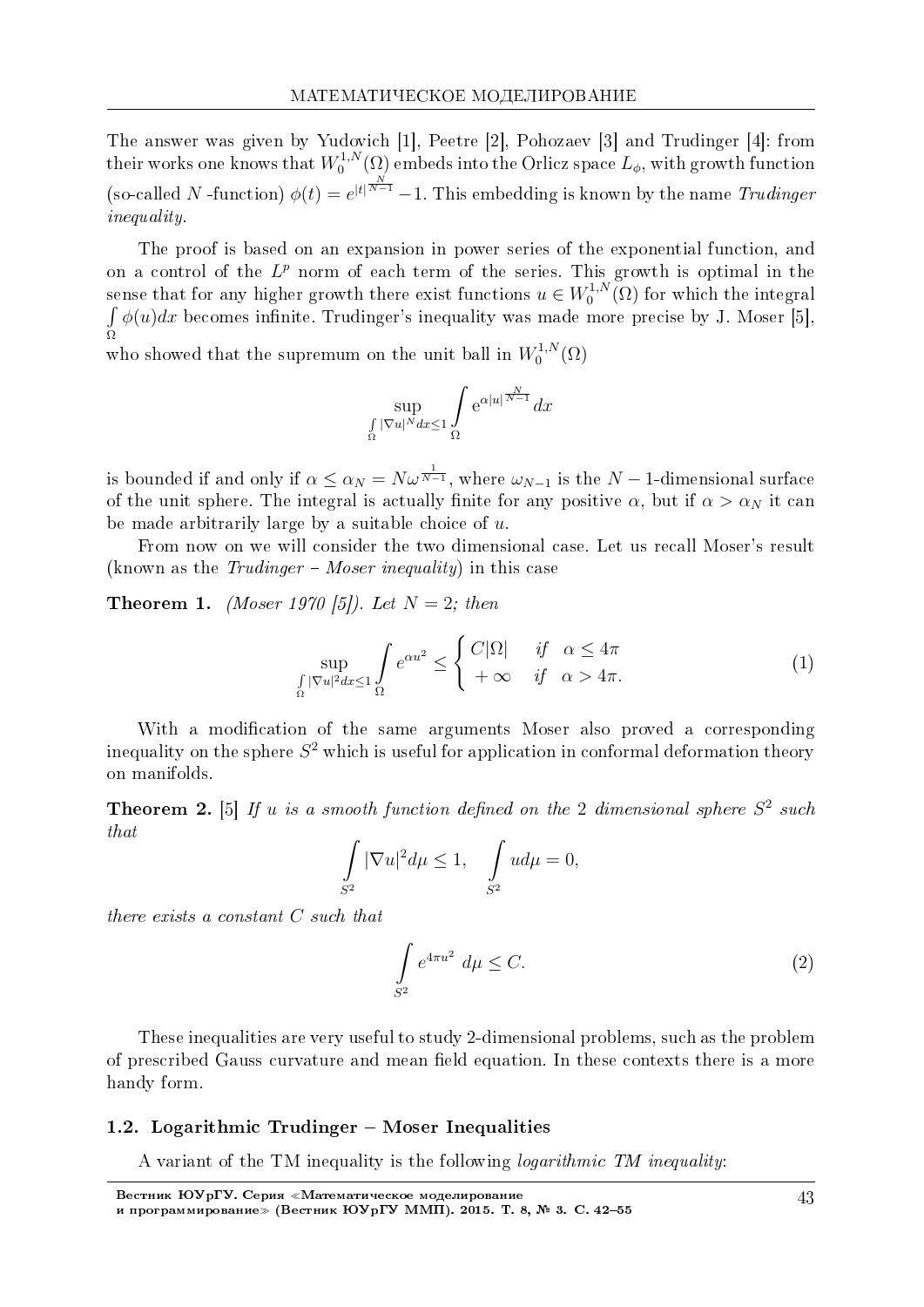The answer was given by Yudovich [1], Peetre [2], Pohozaev [3] and Trudinger [4]: from their works one knows that  $W_0^{1,N}$  $\mathcal{O}_0^{1,N}(\Omega)$  embeds into the Orlicz space  $L_\phi$ , with growth function (so-called *N* -function)  $\phi(t) = e^{|t| \frac{N}{N-1}} - 1$ . This embedding is known by the name Trudinger *inequality* 

The proof is based on an expansion in power series of the exponential function, and on a control of the  $L^p$  norm of each term of the series. This growth is optimal in the sense that for any higher growth there exist functions  $u \in W_0^{1,N}$  $\chi_0^{1,N}(\Omega)$  for which the integral  $\int \phi(u) dx$  becomes infinite. Trudinger's inequality was made more precise by J. Moser [5], Ω

who showed that the supremum on the unit ball in  $W_0^{1,N}$  $\zeta_0^{1,N}(\Omega)$ 

$$
\sup_{\Omega} \int_{\Omega} e^{\alpha |u|^{\frac{N}{N-1}}} dx
$$

is bounded if and only if  $\alpha \leq \alpha_N = N \omega^{\frac{1}{N-1}}$ , where  $\omega_{N-1}$  is the  $N-1$ -dimensional surface of the unit sphere. The integral is actually finite for any positive  $\alpha$ , but if  $\alpha > \alpha_N$  it can be made arbitrarily large by a suitable choice of *u*.

From now on we will consider the two dimensional case. Let us recall Moser's result (known as the  $Trudinger - Moser inequality$ ) in this case

**Theorem 1.** (*Moser 1970 [5]*). Let  $N = 2$ ; then

$$
\sup_{\Omega \atop \Omega} \int_{\Omega} e^{\alpha u^2} \le \begin{cases} C|\Omega| & \text{if } \alpha \le 4\pi \\ +\infty & \text{if } \alpha > 4\pi. \end{cases} \tag{1}
$$

With a modification of the same arguments Moser also proved a corresponding inequality on the sphere  $S^2$  which is useful for application in conformal deformation theory on manifolds.

**Theorem 2.** [5] If *u* is a smooth function defined on the 2 dimensional sphere  $S^2$  such that

$$
\int_{S^2} |\nabla u|^2 d\mu \le 1, \quad \int_{S^2} u d\mu = 0,
$$

there exists a constant *C* such that

$$
\int_{S^2} e^{4\pi u^2} d\mu \le C. \tag{2}
$$

These inequalities are very useful to study 2-dimensional problems, such as the problem of prescribed Gauss curvature and mean field equation. In these contexts there is a more handy form.

### 1.2. Logarithmic Trudinger  $-$  Moser Inequalities

A variant of the TM inequality is the following logarithmic TM inequality: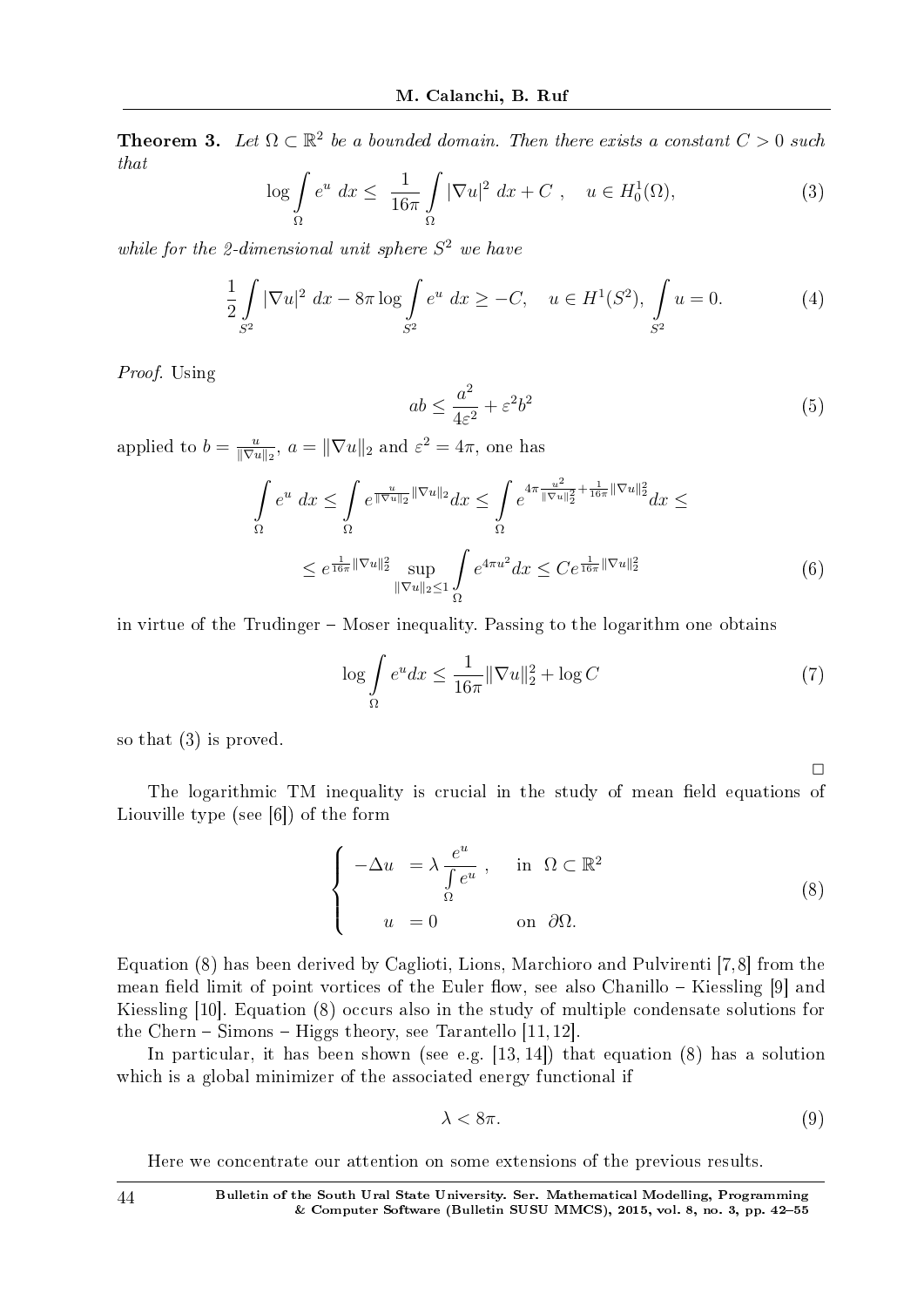**Theorem 3.** Let  $\Omega \subset \mathbb{R}^2$  be a bounded domain. Then there exists a constant  $C > 0$  such that

$$
\log \int_{\Omega} e^u dx \le \frac{1}{16\pi} \int_{\Omega} |\nabla u|^2 dx + C , \quad u \in H_0^1(\Omega), \tag{3}
$$

while for the 2-dimensional unit sphere  $S^2$  we have

$$
\frac{1}{2} \int_{S^2} |\nabla u|^2 dx - 8\pi \log \int_{S^2} e^u dx \ge -C, \quad u \in H^1(S^2), \int_{S^2} u = 0.
$$
 (4)

Proof. Using

$$
ab \le \frac{a^2}{4\varepsilon^2} + \varepsilon^2 b^2 \tag{5}
$$

applied to  $b = \frac{u}{\|\nabla u\|}$  $\frac{u}{\|\nabla u\|_2}$ ,  $a = \|\nabla u\|_2$  and  $\varepsilon^2 = 4\pi$ , one has

$$
\int_{\Omega} e^{u} dx \leq \int_{\Omega} e^{\frac{u}{\|\nabla u\|_{2}} \|\nabla u\|_{2}} dx \leq \int_{\Omega} e^{4\pi \frac{u^{2}}{\|\nabla u\|_{2}^{2}} + \frac{1}{16\pi} \|\nabla u\|_{2}^{2}} dx \leq
$$
\n
$$
\leq e^{\frac{1}{16\pi} \|\nabla u\|_{2}^{2}} \sup_{\|\nabla u\|_{2} \leq 1} \int_{\Omega} e^{4\pi u^{2}} dx \leq Ce^{\frac{1}{16\pi} \|\nabla u\|_{2}^{2}} \tag{6}
$$

in virtue of the Trudinger  $-$  Moser inequality. Passing to the logarithm one obtains

$$
\log \int_{\Omega} e^u dx \le \frac{1}{16\pi} \|\nabla u\|_2^2 + \log C \tag{7}
$$

so that (3) is proved.

The logarithmic TM inequality is crucial in the study of mean field equations of Liouville type (see [6]) of the form

$$
\begin{cases}\n-\Delta u = \lambda \frac{e^u}{\int \Omega} e^u, & \text{in } \Omega \subset \mathbb{R}^2 \\
u = 0 & \text{on } \partial\Omega.\n\end{cases}
$$
\n(8)

Equation (8) has been derived by Caglioti, Lions, Marchioro and Pulvirenti [7,8] from the mean field limit of point vortices of the Euler flow, see also Chanillo  $-$  Kiessling [9] and Kiessling [10]. Equation (8) occurs also in the study of multiple condensate solutions for the Chern  $-$  Simons  $-$  Higgs theory, see Tarantello [11, 12].

In particular, it has been shown (see e.g. [13, 14]) that equation (8) has a solution which is a global minimizer of the associated energy functional if

$$
\lambda < 8\pi. \tag{9}
$$

 $\Box$ 

Here we concentrate our attention on some extensions of the previous results.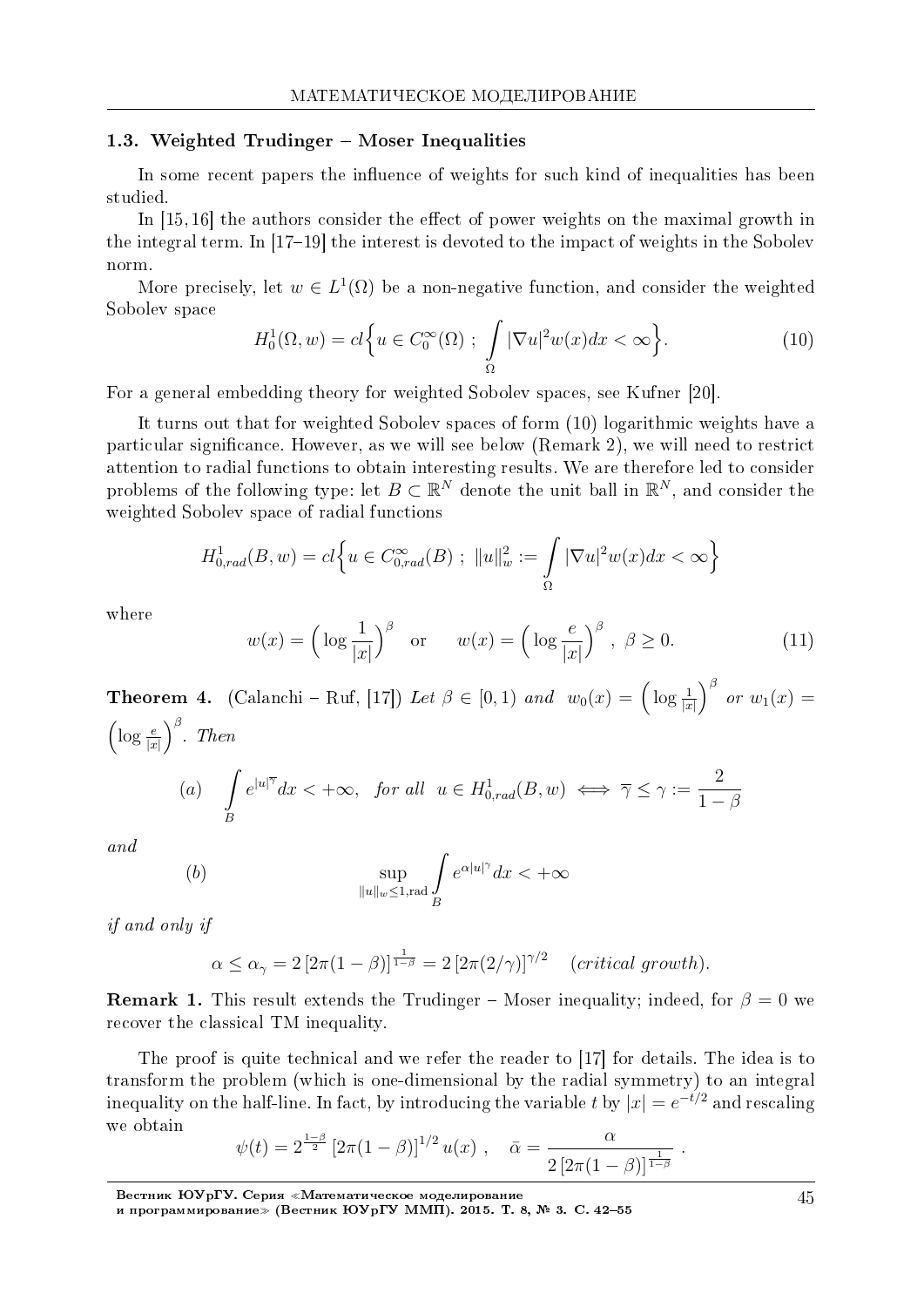#### 1.3. Weighted Trudinger – Moser Inequalities

In some recent papers the influence of weights for such kind of inequalities has been studied.

In  $[15, 16]$  the authors consider the effect of power weights on the maximal growth in the integral term. In [17-19] the interest is devoted to the impact of weights in the Sobolev norm.

More precisely, let  $w \in L^1(\Omega)$  be a non-negative function, and consider the weighted Sobolev space

$$
H_0^1(\Omega, w) = cl\Big\{u \in C_0^\infty(\Omega) \; ; \; \int\limits_{\Omega} |\nabla u|^2 w(x) dx < \infty\Big\}.\tag{10}
$$

For a general embedding theory for weighted Sobolev spaces, see Kufner [20].

It turns out that for weighted Sobolev spaces of form (10) logarithmic weights have a particular significance. However, as we will see below (Remark 2), we will need to restrict attention to radial functions to obtain interesting results. We are therefore led to consider problems of the following type: let  $B \subset \mathbb{R}^N$  denote the unit ball in  $\mathbb{R}^N$ , and consider the weighted Sobolev space of radial functions

$$
H_{0,rad}^1(B, w) = cl \Big\{ u \in C_{0,rad}^{\infty}(B) ; \ \|u\|_w^2 := \int_{\Omega} |\nabla u|^2 w(x) dx < \infty \Big\}
$$

where

$$
w(x) = \left(\log \frac{1}{|x|}\right)^{\beta} \quad \text{or} \quad w(x) = \left(\log \frac{e}{|x|}\right)^{\beta}, \ \beta \ge 0. \tag{11}
$$

**Theorem 4.** (Calanchi – Ruf, [17]) Let  $\beta \in [0,1)$  and  $w_0(x) = \left(\log \frac{1}{|x|}\right)^{\beta}$  or  $w_1(x) =$  $\left(\log\frac{e}{|x|}\right)^{\beta}$ . Then

(a) 
$$
\int\limits_B e^{|u|^{\overline{\gamma}}} dx < +\infty
$$
, for all  $u \in H^1_{0,rad}(B, w) \iff \overline{\gamma} \le \gamma := \frac{2}{1-\beta}$ 

and

$$
\sup_{\|u\|_w\le 1,{\rm rad}}\int\limits_B e^{\alpha |u|^\gamma}dx<+\infty
$$

*if and only if* 

 $(b)$ 

$$
\alpha \le \alpha_{\gamma} = 2\left[2\pi(1-\beta)\right]^{\frac{1}{1-\beta}} = 2\left[2\pi(2/\gamma)\right]^{\gamma/2} \quad (critical\ growth).
$$

**Remark 1.** This result extends the Trudinger – Moser inequality; indeed, for  $\beta = 0$  we recover the classical TM inequality.

The proof is quite technical and we refer the reader to [17] for details. The idea is to transform the problem (which is one-dimensional by the radial symmetry) to an integral inequality on the half-line. In fact, by introducing the variable t by  $|x| = e^{-t/2}$  and rescaling we obtain

$$
\psi(t) = 2^{\frac{1-\beta}{2}} \left[ 2\pi (1-\beta) \right]^{1/2} u(x) , \quad \bar{\alpha} = \frac{\alpha}{2 \left[ 2\pi (1-\beta) \right]^{\frac{1}{1-\beta}} } .
$$

Вестник ЮУрГУ. Серия «Математическое моделирование<br>и программирование» (Вестник ЮУрГУ ММП). 2015. Т. 8, № 3. С. 42–55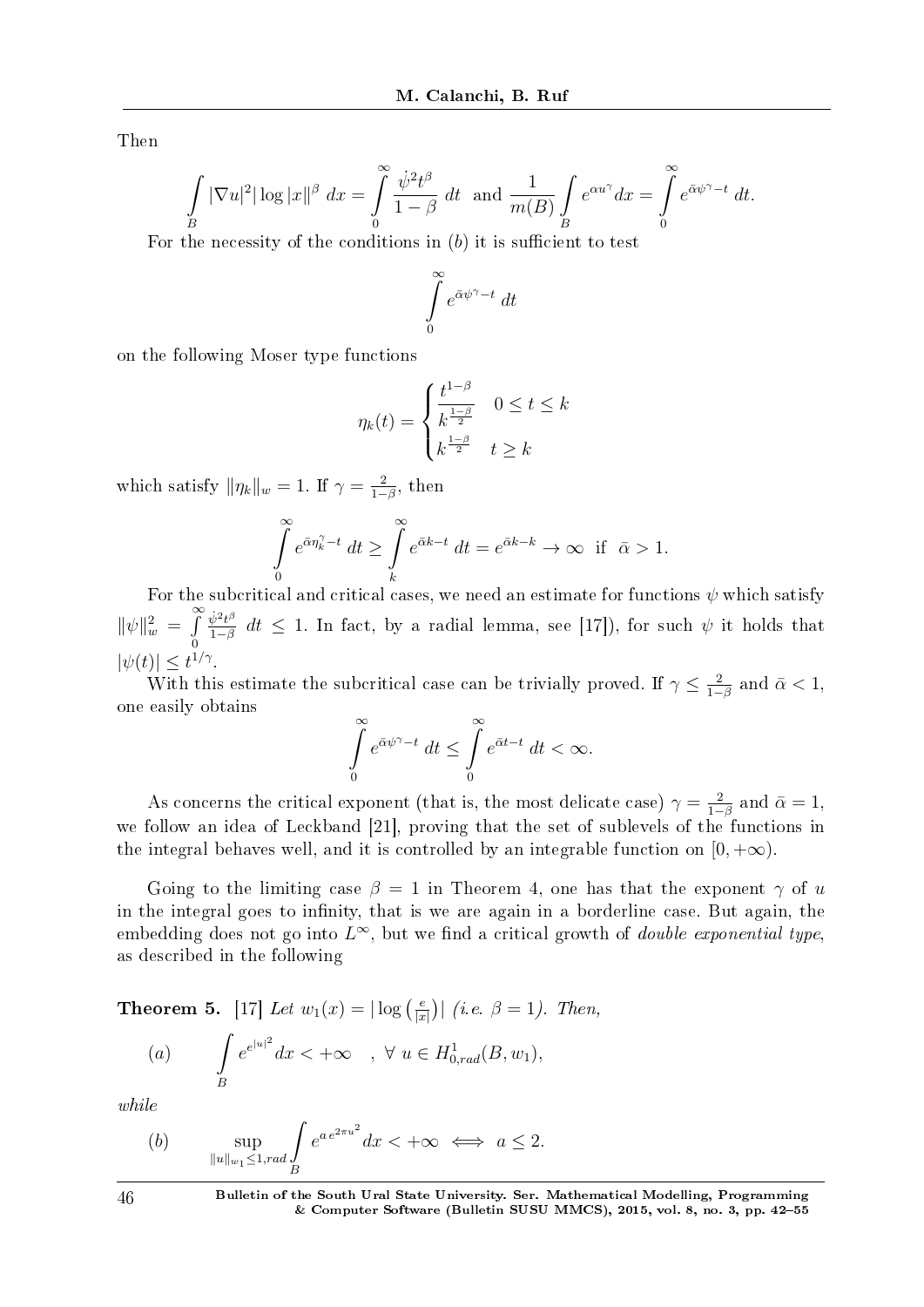Then

$$
\int\limits_B |\nabla u|^2 |\log |x||^\beta dx = \int\limits_0^\infty \frac{\dot{\psi}^2 t^\beta}{1-\beta} dt \text{ and } \frac{1}{m(B)} \int\limits_B e^{\alpha u^\gamma} dx = \int\limits_0^\infty e^{\bar{\alpha}\psi^\gamma - t} dt.
$$

For the necessity of the conditions in (b) it is sufficient to test

$$
\int\limits_0^\infty e^{\bar\alpha\psi^\gamma-t}\;dt
$$

on the following Moser type functions

$$
\eta_k(t) = \begin{cases} \frac{t^{1-\beta}}{k^{\frac{1-\beta}{2}}} & 0 \le t \le k\\ k^{\frac{1-\beta}{2}} & t \ge k \end{cases}
$$

which satisfy  $\|\eta_k\|_w = 1$ . If  $\gamma = \frac{2}{1-\gamma}$  $\frac{2}{1-\beta}$ , then

$$
\int_{0}^{\infty} e^{\bar{\alpha}\eta_k^{\gamma} - t} dt \ge \int_{k}^{\infty} e^{\bar{\alpha}k - t} dt = e^{\bar{\alpha}k - k} \to \infty \quad \text{if} \quad \bar{\alpha} > 1.
$$

For the subcritical and critical cases, we need an estimate for functions  $\psi$  which satisfy  $\|\psi\|_{w}^{2} = \int$ <sup>∞</sup> 0  $\dot{\psi}^2 t^{\beta}$  $\frac{\psi^2 t^{\nu}}{1-\beta}$  *dt* ≤ 1. In fact, by a radial lemma, see [17]), for such  $\psi$  it holds that  $|\psi(t)| \leq t^{1/\gamma}$ .

With this estimate the subcritical case can be trivially proved. If  $\gamma \leq \frac{2}{1-\gamma}$  $\frac{2}{1-\beta}$  and  $\bar{\alpha} < 1$ , one easily obtains

$$
\int_{0}^{\infty} e^{\bar{\alpha}\psi^{\gamma}-t} dt \leq \int_{0}^{\infty} e^{\bar{\alpha}t-t} dt < \infty.
$$

As concerns the critical exponent (that is, the most delicate case)  $\gamma = \frac{2}{1-\gamma}$  $\frac{2}{1-\beta}$  and  $\bar{\alpha}=1$ , we follow an idea of Leckband [21], proving that the set of sublevels of the functions in the integral behaves well, and it is controlled by an integrable function on  $[0, +\infty)$ .

Going to the limiting case  $\beta = 1$  in Theorem 4, one has that the exponent  $\gamma$  of *u* in the integral goes to infinity, that is we are again in a borderline case. But again, the embedding does not go into  $L^{\infty}$ , but we find a critical growth of *double exponential type*, as described in the following

**Theorem 5.** [17] Let  $w_1(x) = |\log(\frac{e}{x})|$  $\frac{e}{|x|}$ ) (*i.e.*  $\beta = 1$ ). Then,

(a) 
$$
\int_{B} e^{e^{|u|^2}} dx < +\infty \quad , \ \forall \ u \in H_{0,rad}^1(B, w_1),
$$

while

(b) 
$$
\sup_{\|u\|_{w_1}\leq 1, rad} \int_{B} e^{a e^{2\pi u^2}} dx < +\infty \iff a \leq 2.
$$

 $46$  Bulletin of the South Ural State University. Ser. Mathematical Modelling, Programming & Computer Software (Bulletin SUSU MMCS), 2015, vol. 8, no. 3, pp. 4255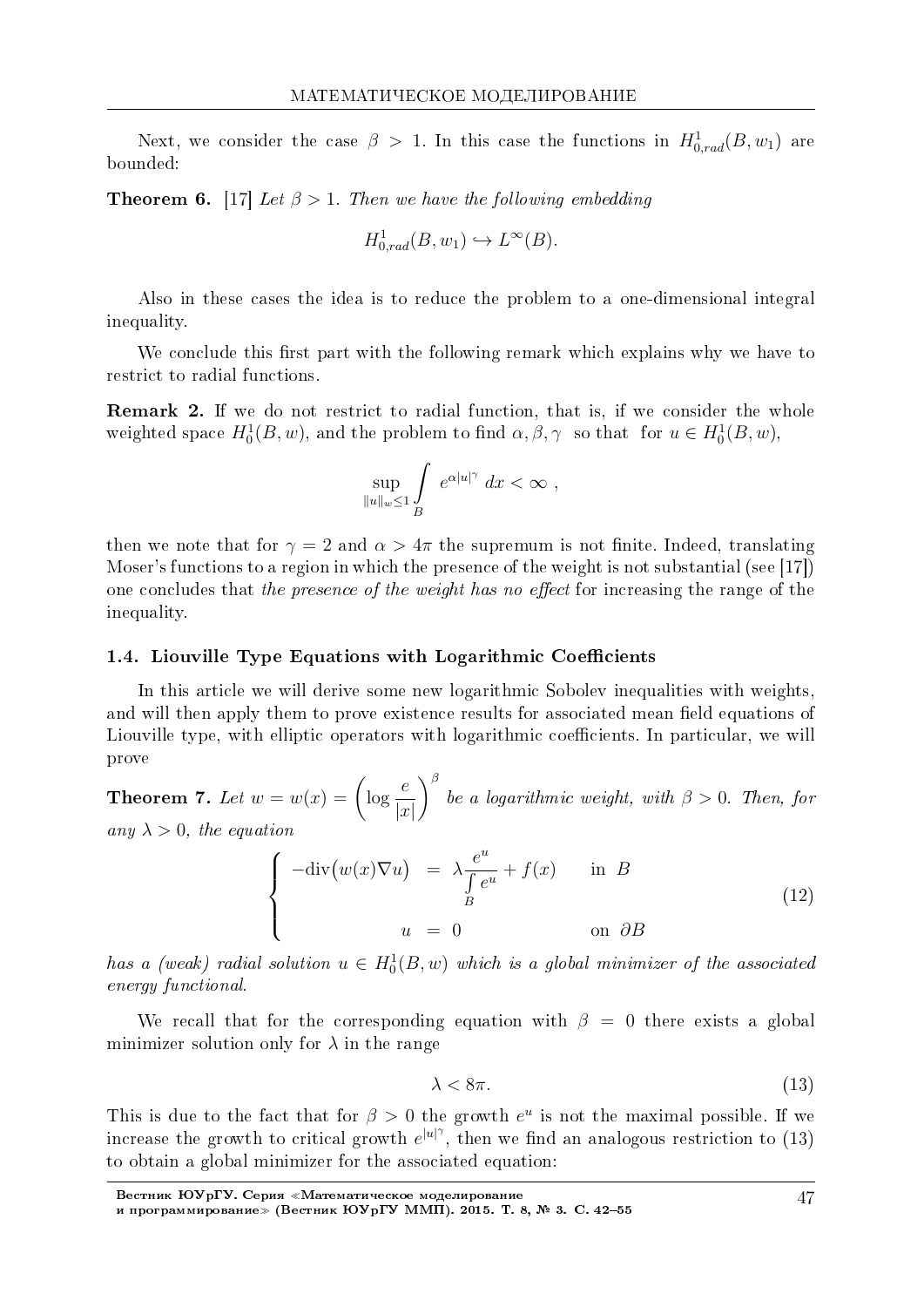Next, we consider the case  $\beta > 1$ . In this case the functions in  $H^1_{0,rad}(B, w_1)$  are bounded:

**Theorem 6.** [17] Let  $\beta > 1$ . Then we have the following embedding

$$
H^1_{0,rad}(B, w_1) \hookrightarrow L^{\infty}(B).
$$

Also in these cases the idea is to reduce the problem to a one-dimensional integral inequality.

We conclude this first part with the following remark which explains why we have to restrict to radial functions.

**Remark 2.** If we do not restrict to radial function, that is, if we consider the whole weighted space  $H_0^1(B, w)$ , and the problem to find  $\alpha, \beta, \gamma$  so that for  $u \in H_0^1(B, w)$ ,

$$
\sup_{\|u\|_{w}\leq 1}\int\limits_{B} e^{\alpha|u|^{\gamma}} dx < \infty ,
$$

then we note that for  $\gamma = 2$  and  $\alpha > 4\pi$  the supremum is not finite. Indeed, translating Moser's functions to a region in which the presence of the weight is not substantial (see [17]) one concludes that the presence of the weight has no effect for increasing the range of the inequality.

#### 1.4. Liouville Type Equations with Logarithmic Coefficients

In this article we will derive some new logarithmic Sobolev inequalities with weights. and will then apply them to prove existence results for associated mean field equations of Liouville type, with elliptic operators with logarithmic coefficients. In particular, we will prove

**Theorem 7.** Let  $w = w(x) = \left(\log \frac{e}{|x|}\right)^{\beta}$  be a logarithmic weight, with  $\beta > 0$ . Then, for any  $\lambda > 0$ , the equation

$$
\begin{cases}\n-\text{div}(w(x)\nabla u) & = \lambda \frac{e^u}{\int e^u} + f(x) & \text{in } B \\
u & = 0 \n\end{cases}
$$
\n(12)

has a (weak) radial solution  $u \in H_0^1(B, w)$  which is a global minimizer of the associated energy functional.

We recall that for the corresponding equation with  $\beta = 0$  there exists a global minimizer solution only for  $\lambda$  in the range

$$
\lambda < 8\pi. \tag{13}
$$

This is due to the fact that for  $\beta > 0$  the growth  $e^u$  is not the maximal possible. If we increase the growth to critical growth  $e^{|u|^\gamma}$ , then we find an analogous restriction to (13) to obtain a global minimizer for the associated equation: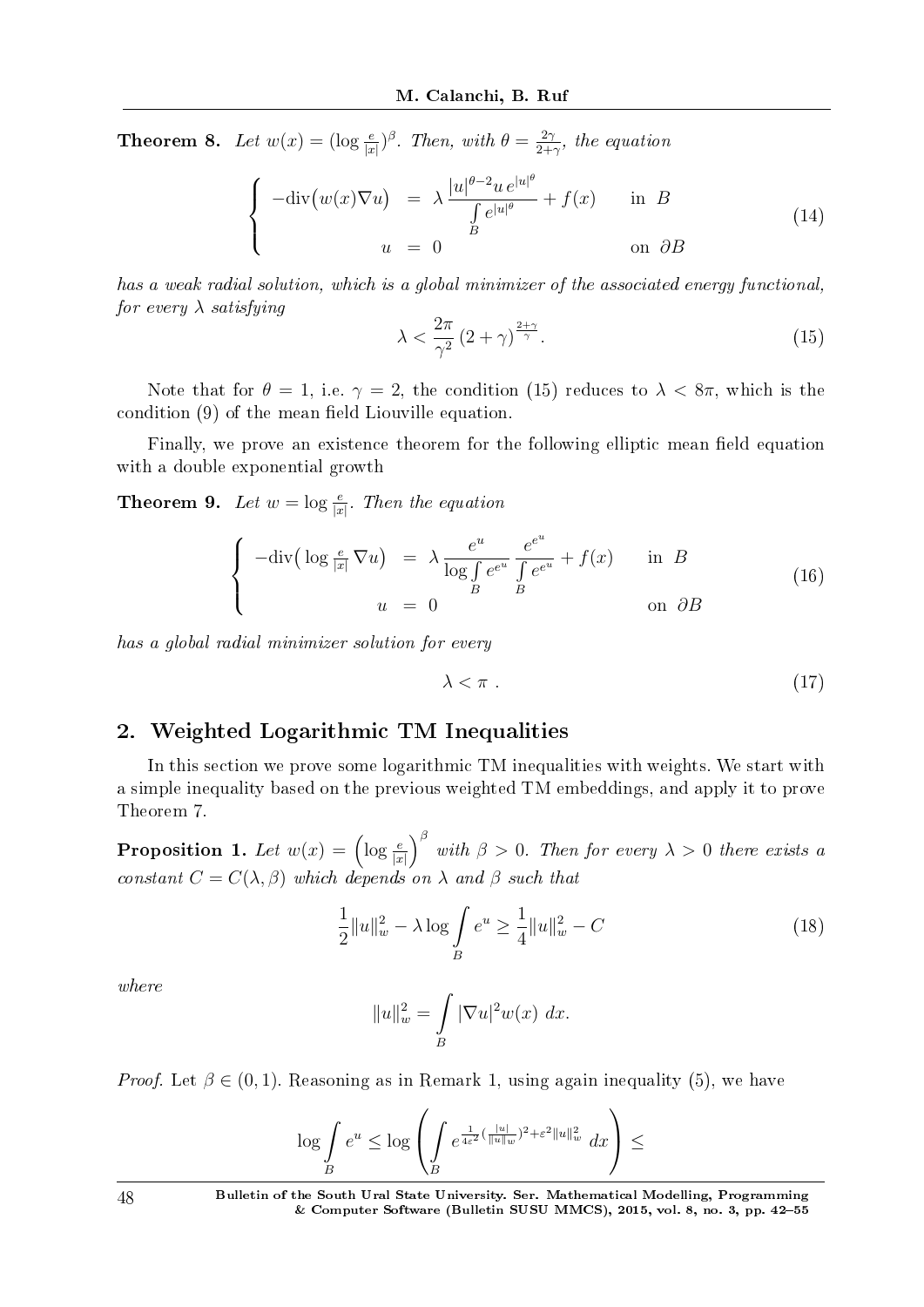**Theorem 8.** Let  $w(x) = (\log \frac{e}{|x|})^{\beta}$ . Then, with  $\theta = \frac{2\gamma}{2+1}$  $rac{2\gamma}{2+\gamma}$ , the equation

$$
\begin{cases}\n-\text{div}(w(x)\nabla u) &= \lambda \frac{|u|^{\theta-2}u e^{|u|^{\theta}}}{\int_{B} e^{|u|^{\theta}}} + f(x) & \text{in } B \\
u &= 0 & \text{on } \partial B\n\end{cases}
$$
\n(14)

has a weak radial solution, which is a global minimizer of the associated energy functional, for every *λ* satisfying

$$
\lambda < \frac{2\pi}{\gamma^2} \left( 2 + \gamma \right)^{\frac{2+\gamma}{\gamma}}.\tag{15}
$$

Note that for  $\theta = 1$ , i.e.  $\gamma = 2$ , the condition (15) reduces to  $\lambda < 8\pi$ , which is the condition  $(9)$  of the mean field Liouville equation.

Finally, we prove an existence theorem for the following elliptic mean field equation with a double exponential growth

**Theorem 9.** Let  $w = \log \frac{e}{|x|}$ . Then the equation

$$
\begin{cases}\n-\text{div}\left(\log\frac{e}{|x|}\nabla u\right) & = \lambda \frac{e^u}{\log \int e^{e^u}} \frac{e^{e^u}}{\int e^{e^u}} + f(x) & \text{in } B \\
u & = 0 \n\end{cases}
$$
\n(16)

has a global radial minimizer solution for every

 $\lambda < \pi$  . (17)

# 2. Weighted Logarithmic TM Inequalities

In this section we prove some logarithmic TM inequalities with weights. We start with a simple inequality based on the previous weighted TM embeddings, and apply it to prove Theorem 7.

Proposition 1. Let  $w(x) = \left(\log \frac{e}{|x|}\right)$  $\int^{\beta}$  with  $\beta > 0$ . Then for every  $\lambda > 0$  there exists a constant  $C = C(\lambda, \beta)$  which depends on  $\lambda$  and  $\beta$  such that

$$
\frac{1}{2}||u||_w^2 - \lambda \log \int_B e^u \ge \frac{1}{4}||u||_w^2 - C \tag{18}
$$

where

$$
||u||_w^2 = \int\limits_B |\nabla u|^2 w(x) \ dx.
$$

*Proof.* Let  $\beta \in (0,1)$ . Reasoning as in Remark 1, using again inequality (5), we have

$$
\log \int\limits_B e^u \leq \log \left( \int\limits_B e^{\frac{1}{4\varepsilon^2} (\frac{|u|}{\|u\|_w})^2 + \varepsilon^2 \|u\|_w^2} dx \right) \leq
$$

48 Bulletin of the South Ural State University. Ser. Mathematical Modelling, Programming & Computer Software (Bulletin SUSU MMCS), 2015, vol. 8, no. 3, pp. 4255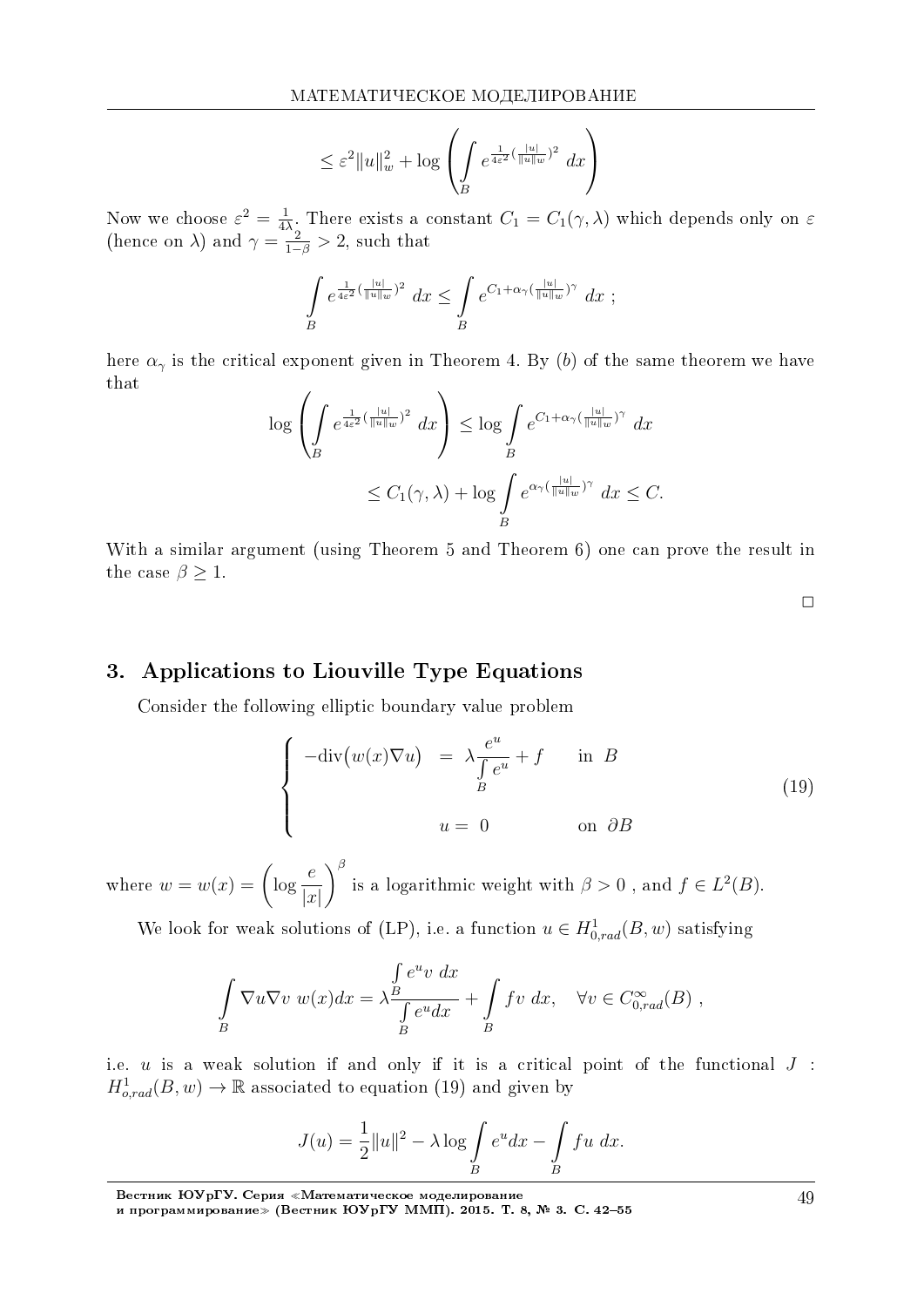$$
\leq \varepsilon^2 \|u\|_w^2 + \log \left( \int\limits_B e^{\frac{1}{4\varepsilon^2} (\frac{|u|}{\|u\|_w})^2} dx \right)
$$

Now we choose  $\varepsilon^2 = \frac{1}{4\lambda}$ . There exists a constant  $C_1 = C_1(\gamma, \lambda)$  which depends only on  $\varepsilon$  (hence on  $\lambda$ ) and  $\gamma = \frac{2}{1-\beta} > 2$ , such that

$$
\int\limits_B e^{\frac{1}{4\varepsilon^2}(\frac{|u|}{||u||_w})^2} dx \leq \int\limits_B e^{C_1 + \alpha_\gamma(\frac{|u|}{||u||_w})^\gamma} dx ;
$$

here  $\alpha_{\gamma}$  is the critical exponent given in Theorem 4. By (b) of the same theorem we have that

$$
\log \left( \int_{B} e^{\frac{1}{4\varepsilon^{2}} (\frac{|u|}{||u||w})^{2}} dx \right) \le \log \int_{B} e^{C_{1} + \alpha_{\gamma} (\frac{|u|}{||u||w})^{\gamma}} dx
$$
  

$$
\le C_{1}(\gamma, \lambda) + \log \int_{B} e^{\alpha_{\gamma} (\frac{|u|}{||u||w})^{\gamma}} dx \le C.
$$

With a similar argument (using Theorem 5 and Theorem 6) one can prove the result in the case  $\beta \geq 1$ .

 $\Box$ 

# 3. Applications to Liouville Type Equations

Consider the following elliptic boundary value problem

$$
\begin{cases}\n-\text{div}(w(x)\nabla u) & = \lambda \frac{e^u}{\int e^u} + f & \text{in } B \\
u = 0 & \text{on } \partial B\n\end{cases}
$$
\n(19)

where  $w = w(x) = \left(\log \frac{e}{|x|}\right)^{\beta}$  is a logarithmic weight with  $\beta > 0$ , and  $f \in L^2(B)$ .

We look for weak solutions of (LP), i.e. a function  $u \in H^1_{0,rad}(B, w)$  satisfying

$$
\int_{B} \nabla u \nabla v \ w(x) dx = \lambda \frac{\int_{B} e^{u} v \ dx}{\int_{B} e^{u} dx} + \int_{B} f v \ dx, \quad \forall v \in C_{0,rad}^{\infty}(B) ,
$$

i.e.  $u$  is a weak solution if and only if it is a critical point of the functional  $J$ :  $H^1_{\text{a,rad}}(B, w) \to \mathbb{R}$  associated to equation (19) and given by

$$
J(u) = \frac{1}{2}||u||^2 - \lambda \log \int_B e^u dx - \int_B fu \ dx.
$$

Вестник ЮУрГУ. Серия «Математическое моделирование<br>и программирование» (Вестник ЮУрГУ ММП). 2015. Т. 8, № 3. С. 42–55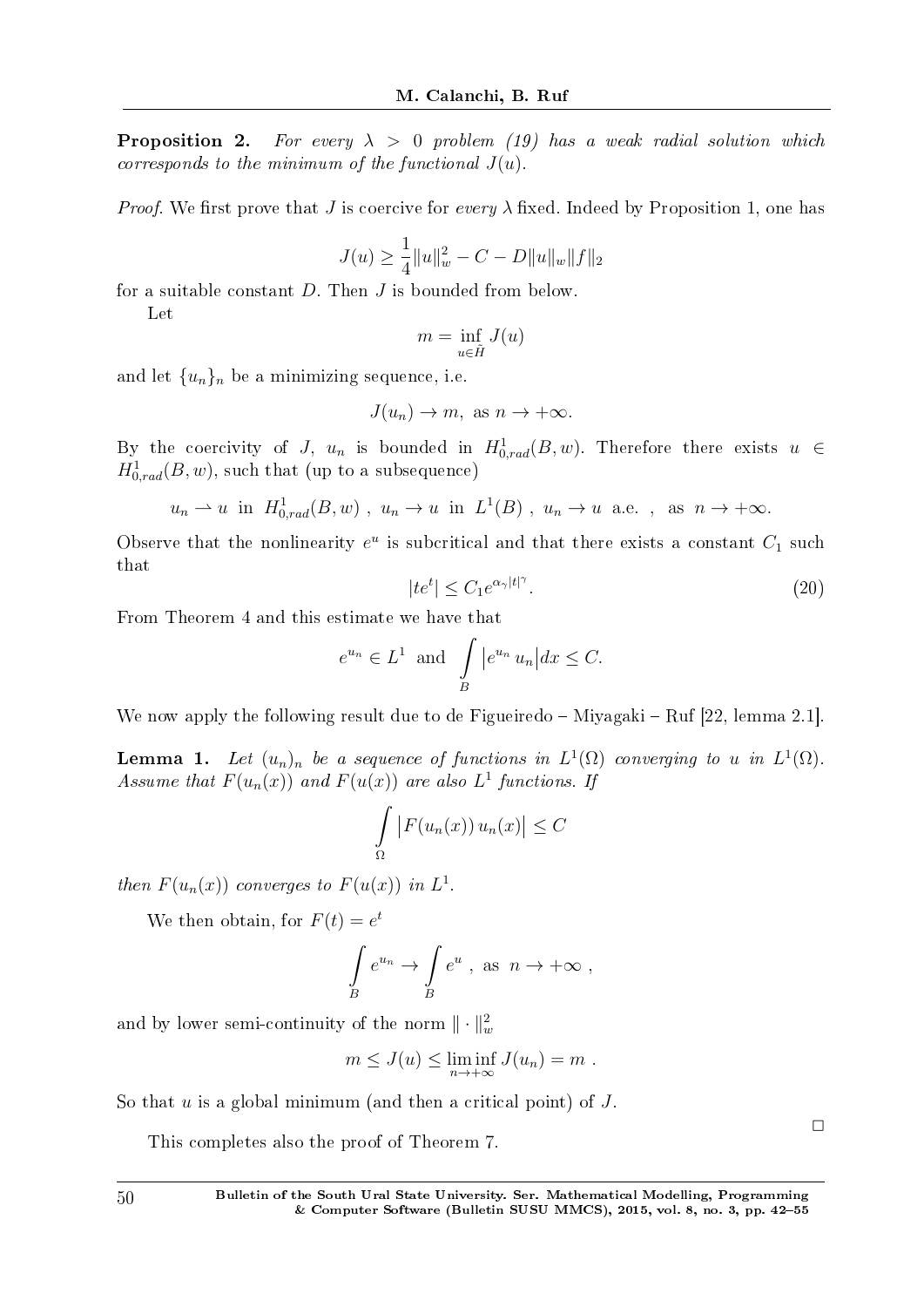**Proposition 2.** For every  $\lambda > 0$  problem (19) has a weak radial solution which corresponds to the minimum of the functional *J*(*u*).

*Proof.* We first prove that *J* is coercive for every  $\lambda$  fixed. Indeed by Proposition 1, one has

$$
J(u) \ge \frac{1}{4} ||u||_w^2 - C - D||u||_w ||f||_2
$$

for a suitable constant *D*. Then *J* is bounded from below.

Let

$$
m = \inf_{u \in \tilde{H}} J(u)
$$

and let  $\{u_n\}_n$  be a minimizing sequence, i.e.

$$
J(u_n) \to m, \text{ as } n \to +\infty.
$$

By the coercivity of *J*,  $u_n$  is bounded in  $H^1_{0,rad}(B, w)$ . Therefore there exists  $u \in$  $H^1_{0,rad}(B, w)$ , such that (up to a subsequence)

$$
u_n \rightharpoonup u
$$
 in  $H^1_{0,rad}(B, w)$ ,  $u_n \rightharpoonup u$  in  $L^1(B)$ ,  $u_n \rightharpoonup u$  a.e. , as  $n \rightharpoonup +\infty$ .

Observe that the nonlinearity  $e^u$  is subcritical and that there exists a constant  $C_1$  such that

$$
|te^t| \le C_1 e^{\alpha_\gamma |t|^\gamma}.\tag{20}
$$

From Theorem 4 and this estimate we have that

$$
e^{u_n} \in L^1
$$
 and  $\int\limits_B |e^{u_n} u_n| dx \leq C.$ 

We now apply the following result due to de Figueiredo  $-$  Miyagaki  $-$  Ruf [22, lemma 2.1].

**Lemma 1.** Let  $(u_n)_n$  be a sequence of functions in  $L^1(\Omega)$  converging to *u* in  $L^1(\Omega)$ . Assume that  $F(u_n(x))$  and  $F(u(x))$  are also  $L^1$  functions. If

$$
\int_{\Omega} |F(u_n(x)) u_n(x)| \leq C
$$

then  $F(u_n(x))$  converges to  $F(u(x))$  in  $L^1$ .

We then obtain, for  $F(t) = e^t$ 

$$
\int\limits_B e^{u_n} \to \int\limits_B e^u , \text{ as } n \to +\infty ,
$$

and by lower semi-continuity of the norm  $\|\cdot\|_w^2$ 

$$
m \leq J(u) \leq \liminf_{n \to +\infty} J(u_n) = m.
$$

So that *u* is a global minimum (and then a critical point) of *J*.

This completes also the proof of Theorem 7.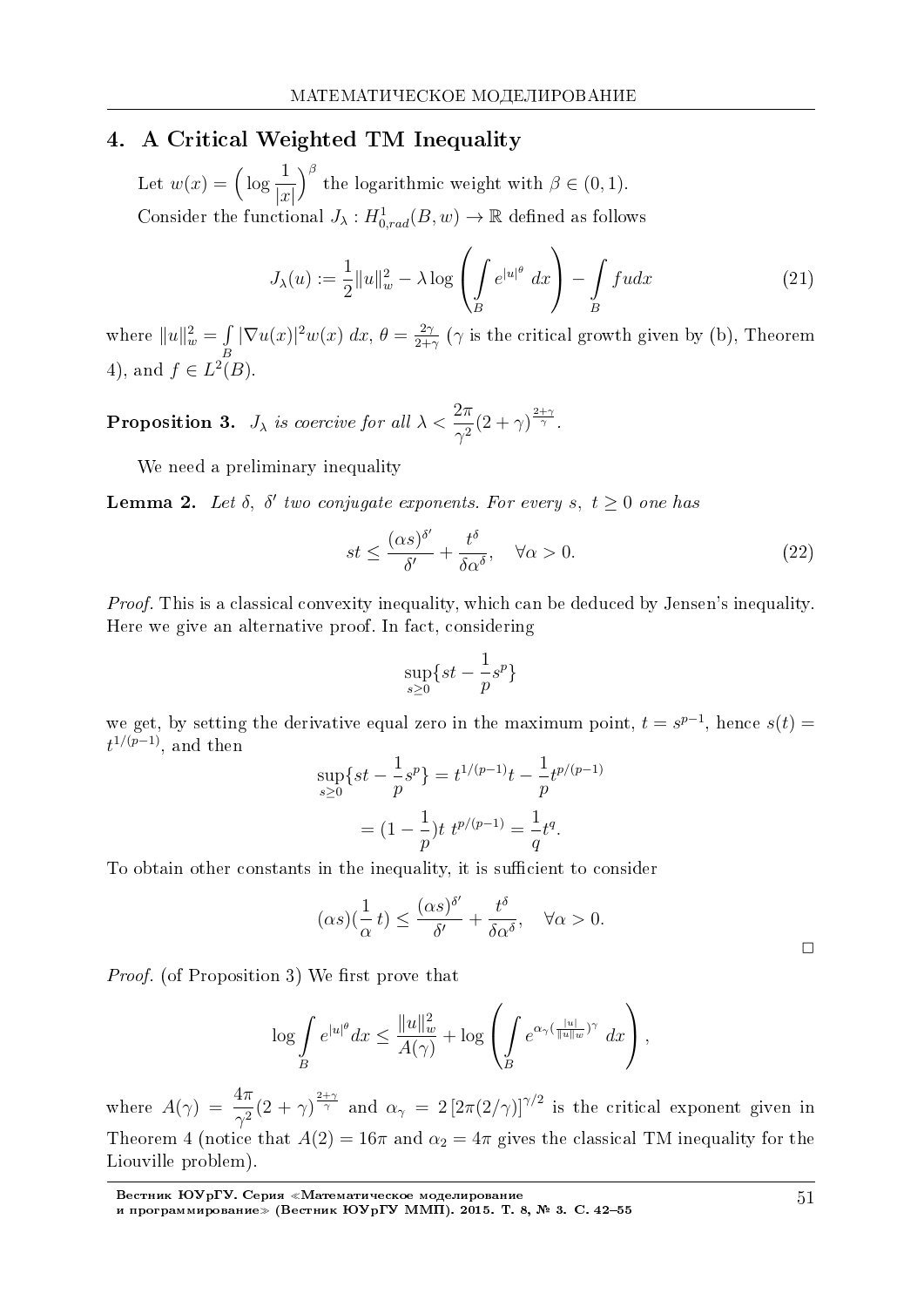# 4. A Critical Weighted TM Inequality

Let  $w(x) = \left(\log \frac{1}{1}\right)$ *|x|*  $\int_{0}^{\beta}$  the logarithmic weight with  $\beta \in (0,1)$ . Consider the functional  $J_{\lambda}: H^1_{0,rad}(B, w) \to \mathbb{R}$  defined as follows

$$
J_{\lambda}(u) := \frac{1}{2} ||u||_{w}^{2} - \lambda \log \left( \int_{B} e^{|u|^{\theta}} dx \right) - \int_{B} f u dx \qquad (21)
$$

where  $||u||_w^2 = \int$ *B*  $|\nabla u(x)|^2 w(x) dx, \theta = \frac{2\gamma}{2\mu}$  $\frac{2\gamma}{2+\gamma}$  ( $\gamma$  is the critical growth given by (b), Theorem 4), and *f* ∈  $L^2(B)$ .

**Proposition 3.** *J*<sub> $\lambda$ </sub> is coercive for all  $\lambda < \frac{2\pi}{\gamma^2}(2+\gamma)^{\frac{2+\gamma}{\gamma}}$ .

We need a preliminary inequality

**Lemma 2.** Let  $\delta$ ,  $\delta'$  two conjugate exponents. For every  $s$ ,  $t \geq 0$  one has

$$
st \le \frac{(\alpha s)^{\delta'}}{\delta'} + \frac{t^{\delta}}{\delta \alpha^{\delta}}, \quad \forall \alpha > 0.
$$
 (22)

Proof. This is a classical convexity inequality, which can be deduced by Jensen's inequality. Here we give an alternative proof. In fact, considering

$$
\sup_{s\geq 0}\{st-\frac{1}{p}s^p\}
$$

we get, by setting the derivative equal zero in the maximum point,  $t = s^{p-1}$ , hence  $s(t) =$  $t^{1/(p-1)}$ , and then

$$
\sup_{s\geq 0} \{st - \frac{1}{p}s^p\} = t^{1/(p-1)}t - \frac{1}{p}t^{p/(p-1)}
$$

$$
= (1 - \frac{1}{p})t \ t^{p/(p-1)} = \frac{1}{q}t^q.
$$

To obtain other constants in the inequality, it is sufficient to consider

$$
(\alpha s)(\frac{1}{\alpha}t) \le \frac{(\alpha s)^{\delta'}}{\delta'} + \frac{t^{\delta}}{\delta \alpha^{\delta}}, \quad \forall \alpha > 0.
$$

*Proof.* (of Proposition 3) We first prove that

$$
\log \int\limits_B e^{|u|^{\theta}} dx \leq \frac{||u||_w^2}{A(\gamma)} + \log \left( \int\limits_B e^{\alpha_{\gamma} (\frac{|u|}{||u||_w})^{\gamma}} dx \right),
$$

where  $A(\gamma) = \frac{4\pi}{\gamma^2} (2 + \gamma)^{\frac{2+\gamma}{\gamma}}$  and  $\alpha_{\gamma} = 2 [2\pi (2/\gamma)]^{\gamma/2}$  is the critical exponent given in Theorem 4 (notice that  $A(2) = 16\pi$  and  $\alpha_2 = 4\pi$  gives the classical TM inequality for the Liouville problem).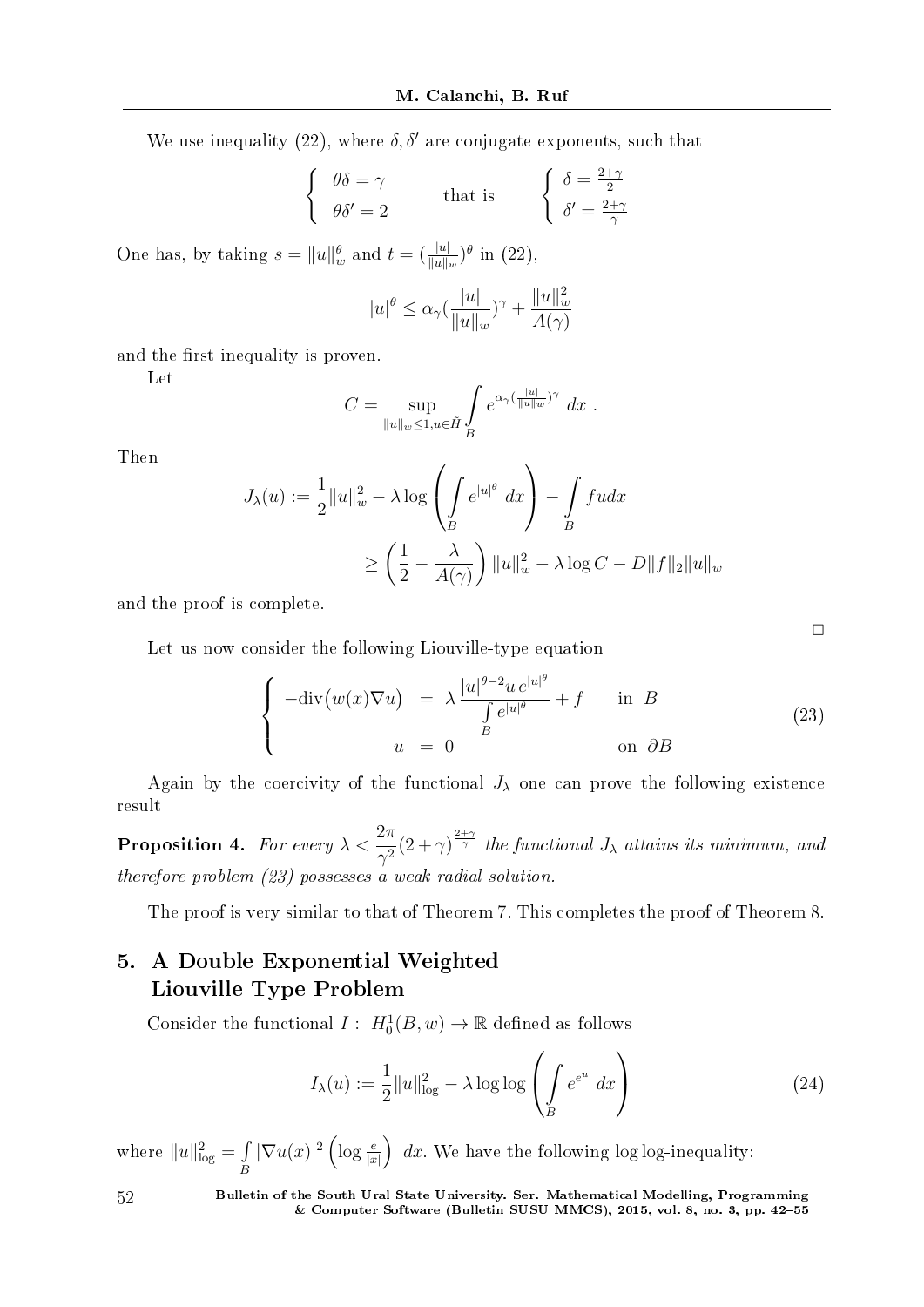We use inequality (22), where  $\delta, \delta'$  are conjugate exponents, such that

$$
\begin{cases} \theta\delta = \gamma \\ \theta\delta' = 2 \end{cases} \text{ that is } \begin{cases} \delta = \frac{2+\gamma}{2} \\ \delta' = \frac{2+\gamma}{\gamma} \end{cases}
$$

One has, by taking  $s = ||u||_w^{\theta}$  and  $t = (\frac{|u|}{||u||_w})^{\theta}$  in (22),

$$
|u|^{\theta} \le \alpha_{\gamma} (\frac{|u|}{\|u\|_{w}})^{\gamma} + \frac{\|u\|_{w}^{2}}{A(\gamma)}
$$

and the first inequality is proven.

Let

$$
C = \sup_{\|u\|_{w}\leq 1, u\in \tilde{H}} \int_{B} e^{\alpha \gamma (\frac{\|u\|}{\|u\|_{w}})^{\gamma}} dx.
$$

Then

$$
J_{\lambda}(u) := \frac{1}{2} ||u||_{w}^{2} - \lambda \log \left( \int_{B} e^{|u|^{q}} dx \right) - \int_{B} f u dx
$$
  

$$
\geq \left( \frac{1}{2} - \frac{\lambda}{A(\gamma)} \right) ||u||_{w}^{2} - \lambda \log C - D||f||_{2} ||u||_{w}
$$

and the proof is complete.

Let us now consider the following Liouville-type equation

$$
\begin{cases}\n-\text{div}(w(x)\nabla u) &= \lambda \frac{|u|^{\theta-2}u e^{|u|^{\theta}}}{\int_{B} e^{|u|^{\theta}}} + f & \text{in } B \\
u &= 0 & \text{on } \partial B\n\end{cases}
$$
\n(23)

Again by the coercivity of the functional  $J_{\lambda}$  one can prove the following existence result

**Proposition 4.** For every  $\lambda < \frac{2\pi}{3}$  $\frac{2\pi}{\gamma^2}(2+\gamma)^{\frac{2+\gamma}{\gamma}}$  the functional *J*<sub>*λ*</sub> attains its minimum, and therefore problem (23) possesses a weak radial solution.

The proof is very similar to that of Theorem 7. This completes the proof of Theorem 8.

# 5. A Double Exponential Weighted Liouville Type Problem

Consider the functional  $I: H_0^1(B, w) \to \mathbb{R}$  defined as follows

$$
I_{\lambda}(u) := \frac{1}{2} ||u||_{\log}^2 - \lambda \log \log \left( \int_{B} e^{e^u} dx \right)
$$
 (24)

where  $||u||_{\log}^2 = \int$ *B*  $|\nabla u(x)|^2 \left(\log \frac{e}{|x|}\right)$ ) *dx*. We have the following log log-inequality: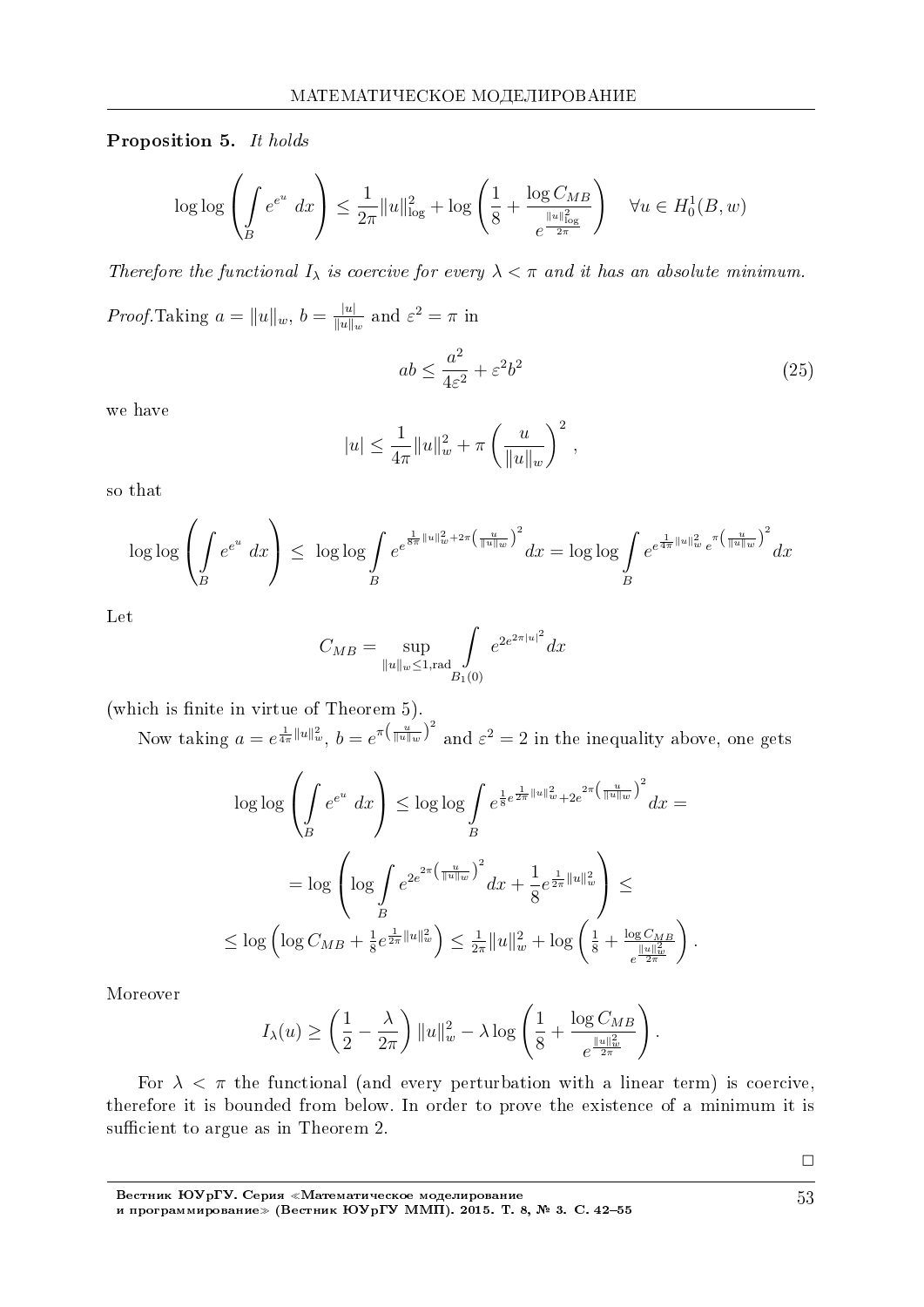Proposition 5. It holds

$$
\log \log \left( \int\limits_B e^{e^u} dx \right) \leq \frac{1}{2\pi} \|u\|_{\log}^2 + \log \left( \frac{1}{8} + \frac{\log C_{MB}}{e^{\frac{\|u\|_{\log}^2}{2\pi}}} \right) \quad \forall u \in H_0^1(B, w)
$$

Therefore the functional  $I_{\lambda}$  is coercive for every  $\lambda < \pi$  and it has an absolute minimum.

 $Proof.\text{Taking } a = ||u||_w, b = \frac{|u|}{||u||}$  $\frac{|u|}{\|u\|_w}$  and  $\varepsilon^2 = \pi$  in

$$
ab \le \frac{a^2}{4\varepsilon^2} + \varepsilon^2 b^2 \tag{25}
$$

we have

$$
|u| \leq \frac{1}{4\pi} \|u\|_{w}^{2} + \pi \left(\frac{u}{\|u\|_{w}}\right)^{2},
$$

so that

$$
\log \log \left( \int\limits_B e^{e^u} dx \right) \le \log \log \int\limits_B e^{e^{\frac{1}{8\pi} \|u\|_w^2 + 2\pi \left( \frac{u}{\|u\|_w} \right)^2}} dx = \log \log \int\limits_B e^{e^{\frac{1}{4\pi} \|u\|_w^2} e^{\pi \left( \frac{u}{\|u\|_w} \right)^2}} dx
$$

Let

$$
C_{MB} = \sup_{\|u\|_{w}\leq 1, \text{rad}} \int_{B_1(0)} e^{2e^{2\pi |u|^2}} dx
$$

(which is finite in virtue of Theorem 5).

Now taking  $a = e^{\frac{1}{4\pi}||u||^2_w}$ ,  $b = e^{\pi(\frac{u}{||u||_w})^2}$  and  $\varepsilon^2 = 2$  in the inequality above, one gets

$$
\log \log \left( \int\limits_B e^{e^u} dx \right) \le \log \log \int\limits_B e^{\frac{1}{8}e^{\frac{1}{2\pi} \|u\|_{w}^2 + 2e^{2\pi \left(\frac{u}{\|u\|_{w}}\right)^2}}{u}} dx =
$$
  

$$
= \log \left( \log \int\limits_B e^{2e^{2\pi \left(\frac{u}{\|u\|_{w}}\right)^2}} dx + \frac{1}{8} e^{\frac{1}{2\pi} \|u\|_{w}^2} \right) \le
$$
  

$$
\le \log \left( \log C_{MB} + \frac{1}{8} e^{\frac{1}{2\pi} \|u\|_{w}^2} \right) \le \frac{1}{2\pi} \|u\|_{w}^2 + \log \left( \frac{1}{8} + \frac{\log C_{MB}}{e^{\frac{\|u\|_{w}^2}{2\pi}}} \right).
$$

Moreover

$$
I_{\lambda}(u) \ge \left(\frac{1}{2} - \frac{\lambda}{2\pi}\right) \|u\|_{w}^{2} - \lambda \log \left(\frac{1}{8} + \frac{\log C_{MB}}{e^{\frac{\|u\|_{w}^{2}}{2\pi}}}\right).
$$

For  $\lambda < \pi$  the functional (and every perturbation with a linear term) is coercive, therefore it is bounded from below. In order to prove the existence of a minimum it is sufficient to argue as in Theorem 2.

Âåñòíèê ÞÓðÃÓ. Ñåðèÿ *<sup>≪</sup>*Ìàòåìàòè÷åñêîå ìîäåëèðîâàíèå è ïðîãðàììèðîâàíèå*<sup>≫</sup>* (Âåñòíèê ÞÓðÃÓ ÌÌÏ). 2015. Ò. 8, 3. Ñ. 4255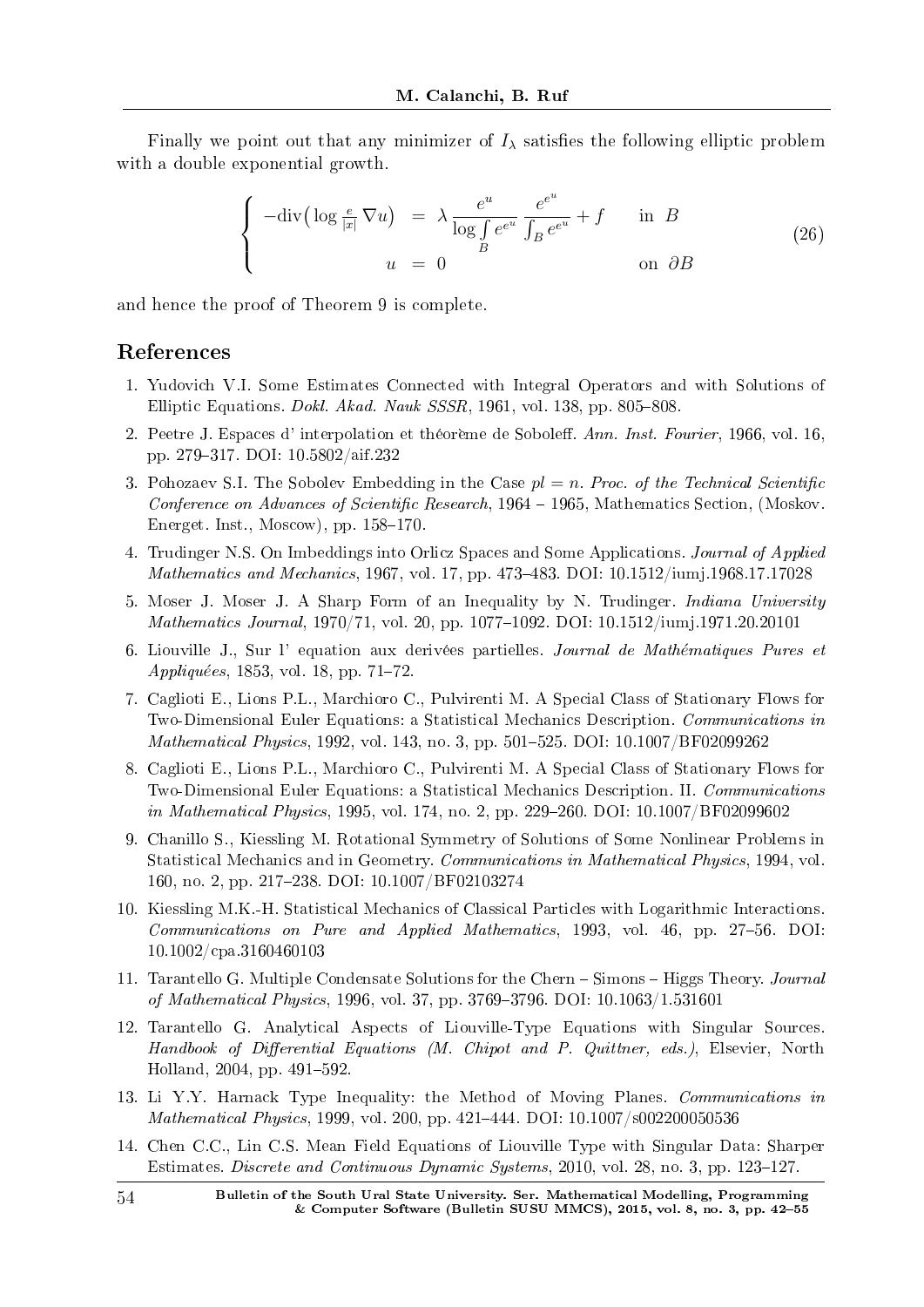Finally we point out that any minimizer of  $I_\lambda$  satisfies the following elliptic problem with a double exponential growth.

$$
\begin{cases}\n-\text{div}\left(\log\frac{e}{|x|}\nabla u\right) & = \lambda \frac{e^u}{\log \int e^{e^u}} \frac{e^{e^u}}{\int B e^{e^u}} + f & \text{in } B \\
u & = 0 & \text{on } \partial B\n\end{cases}
$$
\n(26)

and hence the proof of Theorem 9 is complete.

## References

- 1. Yudovich V.I. Some Estimates Connected with Integral Operators and with Solutions of Elliptic Equations. *Dokl. Akad. Nauk SSSR*, 1961, vol. 138, pp. 805–808.
- 2. Peetre J. Espaces d' interpolation et théorème de Soboleff. Ann. Inst. Fourier, 1966, vol. 16, pp. 279317. DOI: 10.5802/aif.232
- 3. Pohozaev S.I. The Sobolev Embedding in the Case  $pl = n$ . Proc. of the Technical Scientific Conference on Advances of Scientific Research,  $1964 - 1965$ , Mathematics Section, (Moskov. Energet. Inst., Moscow), pp.  $158-170$ .
- 4. Trudinger N.S. On Imbeddings into Orlicz Spaces and Some Applications. Journal of Applied Mathematics and Mechanics, 1967, vol. 17, pp. 473–483. DOI: 10.1512/jumj.1968.17.17028
- 5. Moser J. Moser J. A Sharp Form of an Inequality by N. Trudinger. Indiana University Mathematics Journal, 1970/71, vol. 20, pp. 1077–1092. DOI: 10.1512/iumj.1971.20.20101
- 6. Liouville J., Sur l'equation aux derivées partielles. Journal de Mathématiques Pures et Appliquées, 1853, vol. 18, pp. 71–72
- 7. Caglioti E., Lions P.L., Marchioro C., Pulvirenti M. A Special Class of Stationary Flows for Two-Dimensional Euler Equations: a Statistical Mechanics Description. Communications in *Mathematical Physics*, 1992, vol. 143, no. 3, pp. 501–525. DOI:  $10.1007/BF02099262$
- 8. Caglioti E., Lions P.L., Marchioro C., Pulvirenti M. A Special Class of Stationary Flows for Two-Dimensional Euler Equations: a Statistical Mechanics Description. II. Communications in Mathematical Physics, 1995, vol. 174, no. 2, pp. 229–260. DOI:  $10.1007/BF02099602$
- 9. Chanillo S., Kiessling M. Rotational Symmetry of Solutions of Some Nonlinear Problems in Statistical Mechanics and in Geometry. Communications in Mathematical Physics, 1994, vol. 160, no. 2, pp. 217238. DOI: 10.1007/BF02103274
- 10. Kiessling M.K.-H. Statistical Mechanics of Classical Particles with Logarithmic Interactions. Communications on Pure and Applied Mathematics, 1993, vol. 46, pp. 27–56. DOI: 10.1002/cpa.3160460103
- 11. Tarantello G. Multiple Condensate Solutions for the Chern Simons Higgs Theory. Journal of Mathematical Physics, 1996, vol. 37, pp. 3769-3796. DOI: 10.1063/1.531601
- 12. Tarantello G. Analytical Aspects of Liouville-Type Equations with Singular Sources. Handbook of Differential Equations (M. Chipot and P. Quittner, eds.), Elsevier, North Holland, 2004, pp. 491–592.
- 13. Li Y.Y. Harnack Type Inequality: the Method of Moving Planes. Communications in *Mathematical Physics*, 1999, vol. 200, pp.  $421-444$ . DOI:  $10.1007/s002200050536$
- 14. Chen C.C., Lin C.S. Mean Field Equations of Liouville Type with Singular Data: Sharper Estimates. Discrete and Continuous Dynamic Systems, 2010, vol. 28, no. 3, pp. 123–127.